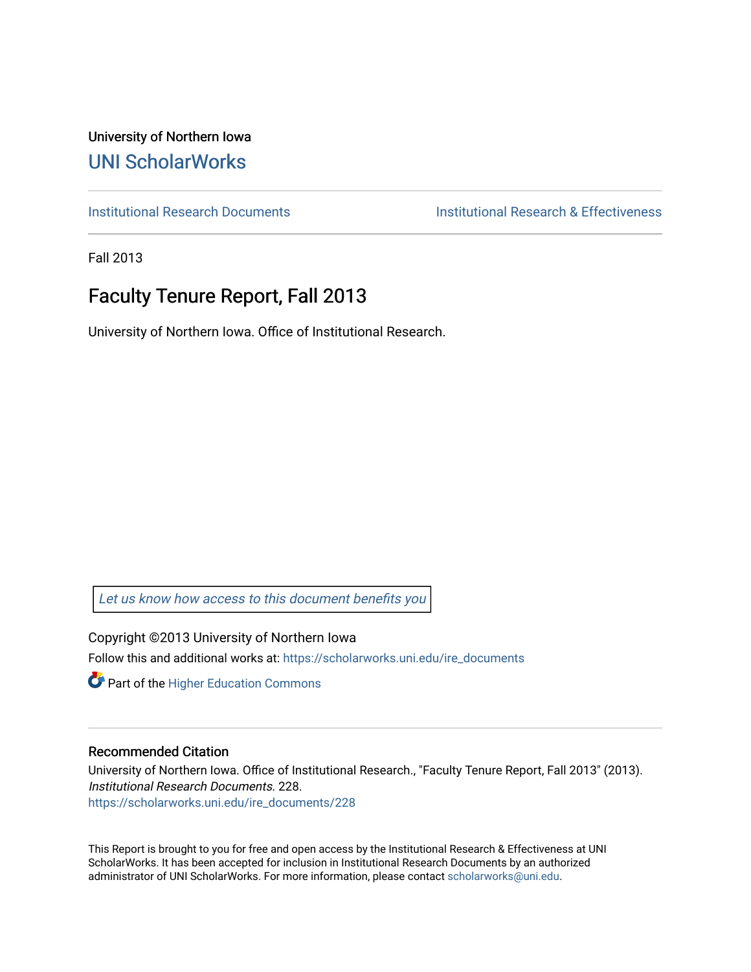University of Northern Iowa [UNI ScholarWorks](https://scholarworks.uni.edu/) 

[Institutional Research Documents](https://scholarworks.uni.edu/ire_documents) [Institutional Research & Effectiveness](https://scholarworks.uni.edu/ire) 

Fall 2013

# Faculty Tenure Report, Fall 2013

University of Northern Iowa. Office of Institutional Research.

[Let us know how access to this document benefits you](https://scholarworks.uni.edu/feedback_form.html) 

Copyright ©2013 University of Northern Iowa Follow this and additional works at: [https://scholarworks.uni.edu/ire\\_documents](https://scholarworks.uni.edu/ire_documents?utm_source=scholarworks.uni.edu%2Fire_documents%2F228&utm_medium=PDF&utm_campaign=PDFCoverPages) 

**Part of the Higher Education Commons** 

#### Recommended Citation

University of Northern Iowa. Office of Institutional Research., "Faculty Tenure Report, Fall 2013" (2013). Institutional Research Documents. 228. [https://scholarworks.uni.edu/ire\\_documents/228](https://scholarworks.uni.edu/ire_documents/228?utm_source=scholarworks.uni.edu%2Fire_documents%2F228&utm_medium=PDF&utm_campaign=PDFCoverPages) 

This Report is brought to you for free and open access by the Institutional Research & Effectiveness at UNI ScholarWorks. It has been accepted for inclusion in Institutional Research Documents by an authorized administrator of UNI ScholarWorks. For more information, please contact [scholarworks@uni.edu](mailto:scholarworks@uni.edu).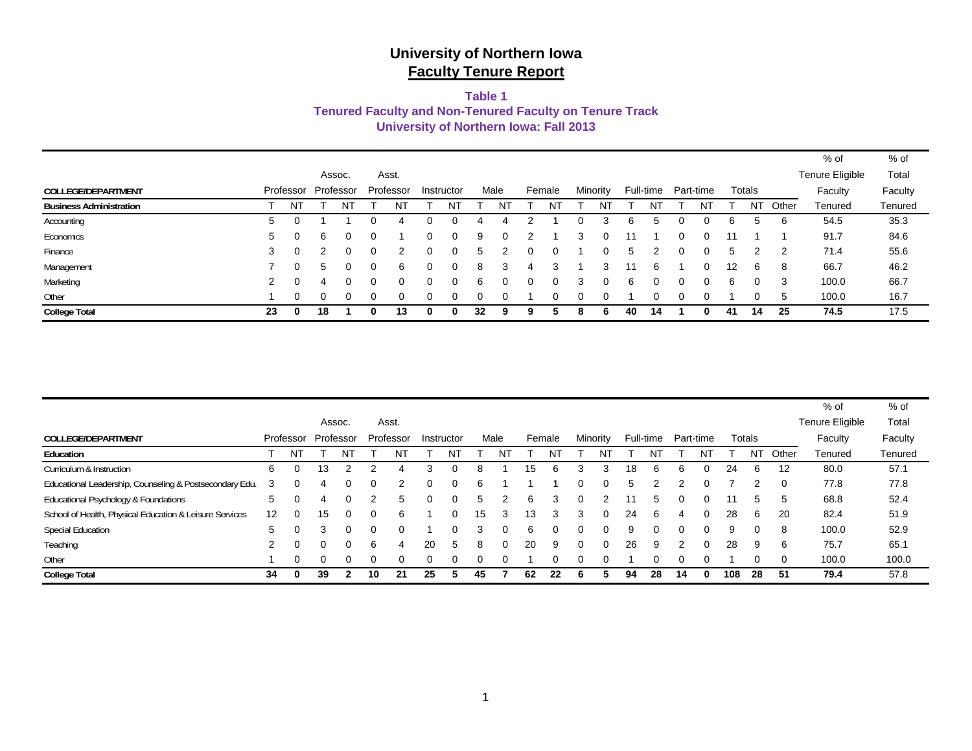### **Table 1**

### **Tenured Faculty and Non-Tenured Faculty on Tenure Track**

**University of Northern Iowa: Fall 2013**

|                                |    |           |               |          |           |            |               |          |        |   |              |    |           |           |               |           |       | % of                   | $%$ of  |
|--------------------------------|----|-----------|---------------|----------|-----------|------------|---------------|----------|--------|---|--------------|----|-----------|-----------|---------------|-----------|-------|------------------------|---------|
|                                |    |           | Assoc.        |          | Asst.     |            |               |          |        |   |              |    |           |           |               |           |       | <b>Tenure Eligible</b> | Total   |
| COLLEGE/DEPARTMENT             |    | Professor | Professor     |          | Professor | Instructor |               | Male     | Female |   | Minority     |    | Full-time | Part-time |               | Totals    |       | Faculty                | Faculty |
| <b>Business Administration</b> |    | NT        |               | N1       | NΊ        | N1         |               | N        | N1     |   | N.           |    | N1        | N         |               | <b>NT</b> | Other | Tenured                | Tenured |
| Accounting                     | 5  |           |               |          |           | 0          |               |          |        |   |              |    |           |           |               | 5         | 6     | 54.5                   | 35.3    |
| Economics                      | 5  | 0         | 6             | $\Omega$ |           | 0          | 9             | $\Omega$ |        | 3 | $\Omega$     |    |           | $\Omega$  |               |           |       | 91.7                   | 84.6    |
| Finance                        | 3  | $\Omega$  |               | 0        | 2         | 0          | $\mathcal{D}$ |          | 0      |   | 0            |    |           | 0         | $\mathcal{D}$ | 2         | -2    | 71.4                   | 55.6    |
| Management                     |    | 0         | $\mathcal{D}$ |          | 6         | 0          | 8             | 3        | 3      |   | з            |    | 6         | $\Omega$  | 12            | 6         | 8     | 66.7                   | 46.2    |
| Marketing                      | 2  | 0         | 4             | 0        | 0         | 0          | h             | $^{(1)}$ | 0      |   | $\mathbf{U}$ | 6  | $\Omega$  | $\Omega$  | 6             | 0         | 3     | 100.0                  | 66.7    |
| Other                          |    | 0         |               | 0        | 0         | 0          |               | $\Omega$ | 0      |   | 0            |    | 0         | 0         |               | 0         | 5     | 100.0                  | 16.7    |
| <b>College Total</b>           | 23 | 0         | 18            |          | 13        |            | 32            | 9        |        |   |              | 40 | 14        |           | 41            | 14        | 25    | 74.5                   | 17.5    |

|                                                         |    |           |              |        |              |              |          |            |    |      |    |        |   |          |    |           |          |           |     |        |          | % of            | $%$ of  |
|---------------------------------------------------------|----|-----------|--------------|--------|--------------|--------------|----------|------------|----|------|----|--------|---|----------|----|-----------|----------|-----------|-----|--------|----------|-----------------|---------|
|                                                         |    |           |              | Assoc. |              | Asst.        |          |            |    |      |    |        |   |          |    |           |          |           |     |        |          | Tenure Eligible | Total   |
| COLLEGE/DEPARTMENT                                      |    | Professor | Professor    |        |              | Professor    |          | Instructor |    | Male |    | Female |   | Minority |    | Full-time |          | Part-time |     | Totals |          | Faculty         | Faculty |
| Education                                               |    | NT        |              |        |              | N            |          |            |    |      |    | Νī     |   | N        |    |           |          | N١        |     | NT     | Other    | Tenured         | Tenured |
| Curriculum & Instruction                                | 6  |           | 13           |        |              | Δ.           | 3        |            | 8  |      | 15 | n      |   | з        | 18 | 6         | 6        | $\Omega$  | 24  | 6      | 12       | 80.0            | 57.1    |
| Educational Leadership, Counseling & Postsecondary Edu. | 3  |           |              |        | 0            |              | $\Omega$ |            | 6  |      |    |        |   | 0        | 5  |           |          | 0         |     |        | $\Omega$ | 77.8            | 77.8    |
| Educational Psychology & Foundations                    | 5  |           |              |        |              | $\mathbf{b}$ | $\Omega$ |            | 5  |      | 6  | 3      | 0 |          |    | 5         | $\Omega$ | $\Omega$  | 11  | 5      | 5        | 68.8            | 52.4    |
| School of Health, Physical Education & Leisure Services | 12 |           | 15           |        | <sup>o</sup> | 6            |          |            | 15 | З    | 13 |        | 3 | 0        | 24 | 6         | 4        | $\Omega$  | 28  | 6      | 20       | 82.4            | 51.9    |
| <b>Special Education</b>                                | 5  |           | З            |        | 0            |              |          |            | 3  |      | 6  |        |   | 0        | 9  | 0         | $\Omega$ | $\Omega$  | 9   |        | 8        | 100.0           | 52.9    |
| Teaching                                                | 2  |           | $\Omega$     |        | 6            | 4            | 20       |            | 8  |      | 20 | 9      | 0 | $\Omega$ | 26 | 9         | 2        | 0         | 28  | 9      | 6        | 75.7            | 65.1    |
| Other                                                   |    |           | <sup>0</sup> |        |              |              |          |            |    |      |    |        |   |          |    |           | 0        | $\Omega$  |     |        | $\Omega$ | 100.0           | 100.0   |
| <b>College Total</b>                                    | 34 |           | 39           |        | 10           | 21           | 25       |            | 45 |      | 62 | 22     |   |          | 94 | 28        | 14       | 0         | 108 | 28     | 51       | 79.4            | 57.8    |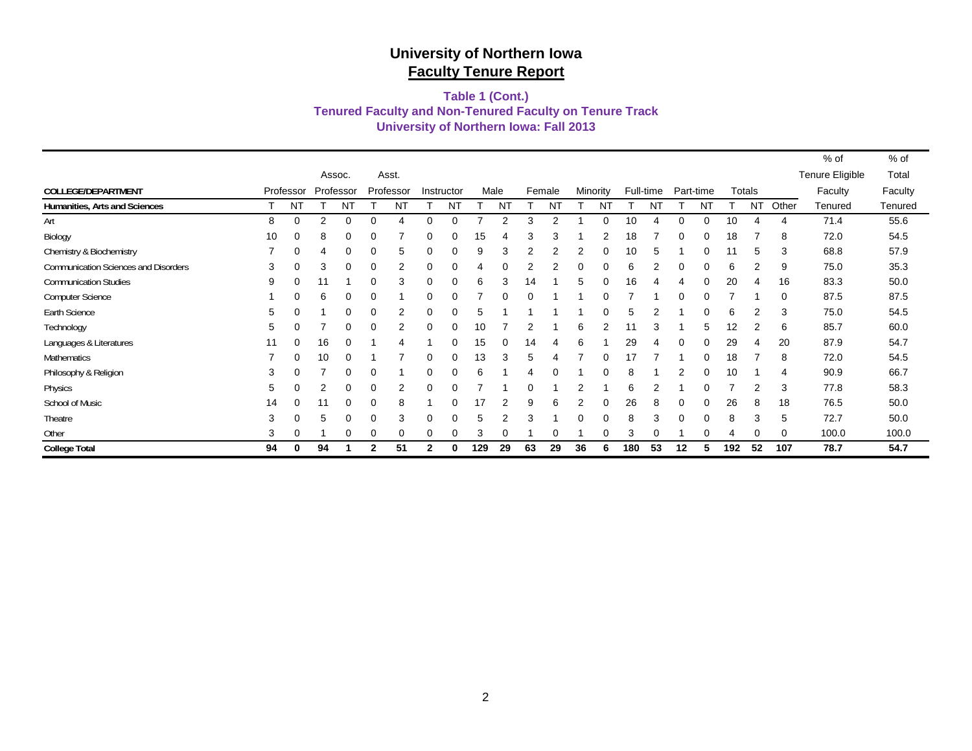#### **University of Northern Iowa: Fall 2013 Tenured Faculty and Non-Tenured Faculty on Tenure Track Table 1 (Cont.)**

|                                      |    |                |           |           |   |           |          |            |      |    |    |           |    |           |     |           |           |           |     |           |       | % of            | % of    |
|--------------------------------------|----|----------------|-----------|-----------|---|-----------|----------|------------|------|----|----|-----------|----|-----------|-----|-----------|-----------|-----------|-----|-----------|-------|-----------------|---------|
|                                      |    |                |           | Assoc.    |   | Asst.     |          |            |      |    |    |           |    |           |     |           |           |           |     |           |       | Tenure Eligible | Total   |
| COLLEGE/DEPARTMENT                   |    | Professor      | Professor |           |   | Professor |          | Instructor | Male |    |    | Female    |    | Minority  |     | Full-time | Part-time |           |     | Totals    |       | Faculty         | Faculty |
| Humanities, Arts and Sciences        |    | N <sub>T</sub> |           | <b>NT</b> |   | <b>NT</b> |          | <b>NT</b>  |      | NT |    | <b>NT</b> |    | <b>NT</b> |     | <b>NT</b> |           | <b>NT</b> |     | <b>NT</b> | Other | Tenured         | Tenured |
| Art                                  | 8  | 0              | 2         | $\Omega$  |   |           | 0        | $\Omega$   |      | 2  | 3  |           |    | ∩         | 10  |           | 0         | $\Omega$  | 10  |           | 4     | 71.4            | 55.6    |
| Biology                              | 10 | 0              | 8         | 0         |   |           | 0        |            | 15   |    | З  |           |    |           | 18  |           |           | 0         | 18  |           | 8     | 72.0            | 54.5    |
| Chemistry & Biochemistry             |    | 0              | 4         | 0         | 0 | 5         | 0        | 0          | 9    | 3  |    |           | 2  |           | 10  | 5         |           | 0         | 11  | 5         | 3     | 68.8            | 57.9    |
| Communication Sciences and Disorders | 3  | 0              | 3         |           | 0 |           |          |            |      |    |    |           |    |           | 6   |           |           |           | 6   |           | 9     | 75.0            | 35.3    |
| <b>Communication Studies</b>         | 9  | 0              | 11        |           |   | 3         |          |            | 6    | 3  | 14 |           | 5  |           | 16  |           |           |           | 20  |           | 16    | 83.3            | 50.0    |
| <b>Computer Science</b>              |    | 0              | 6         |           | 0 |           | 0        |            |      | 0  |    |           |    |           |     |           | 0         | 0         |     |           | 0     | 87.5            | 87.5    |
| Earth Science                        | 5  | $\Omega$       |           |           |   |           |          |            | 5    |    |    |           |    |           |     |           |           |           | 6   |           | 3     | 75.0            | 54.5    |
| Technology                           | 5  | $\Omega$       |           |           |   |           |          |            | 10   |    |    |           | 6  |           |     |           |           | 5         | 12  |           | 6     | 85.7            | 60.0    |
| Languages & Literatures              | 11 | 0              | 16        |           |   |           |          |            | 15   | 0  | 14 |           | 6  |           | 29  |           | 0         | $\Omega$  | 29  |           | 20    | 87.9            | 54.7    |
| Mathematics                          |    | 0              | 10        | $\Omega$  |   |           | 0        | $\Omega$   | 13   | 3  | 5  |           |    | ∩         | 17  |           |           | 0         | 18  |           | 8     | 72.0            | 54.5    |
| Philosophy & Religion                | 3  | 0              |           |           |   |           |          |            | 6    |    |    |           |    |           | 8   |           |           | 0         | 10  |           | 4     | 90.9            | 66.7    |
| Physics                              | 5  | 0              |           |           | 0 |           | $\Omega$ |            |      |    |    |           |    |           | 6   |           |           |           |     |           | 3     | 77.8            | 58.3    |
| School of Music                      | 14 | 0              | 11        |           | 0 | 8         |          |            | 17   |    | 9  |           | 2  |           | 26  |           | 0         | 0         | 26  | 8         | 18    | 76.5            | 50.0    |
| Theatre                              | 3  | 0              | 5         |           |   | 3         |          |            | 5    | 2  | З  |           |    |           | 8   | 3         |           |           | 8   |           | 5     | 72.7            | 50.0    |
| Other                                | 3  | $\Omega$       |           |           |   | 0         | 0        |            | 3    |    |    |           |    |           | З   |           |           |           |     |           | 0     | 100.0           | 100.0   |
| <b>College Total</b>                 | 94 | 0              | 94        |           | 2 | 51        | 2        |            | 129  | 29 | 63 | 29        | 36 | 6         | 180 | 53        | 12        | 5         | 192 | 52        | 107   | 78.7            | 54.7    |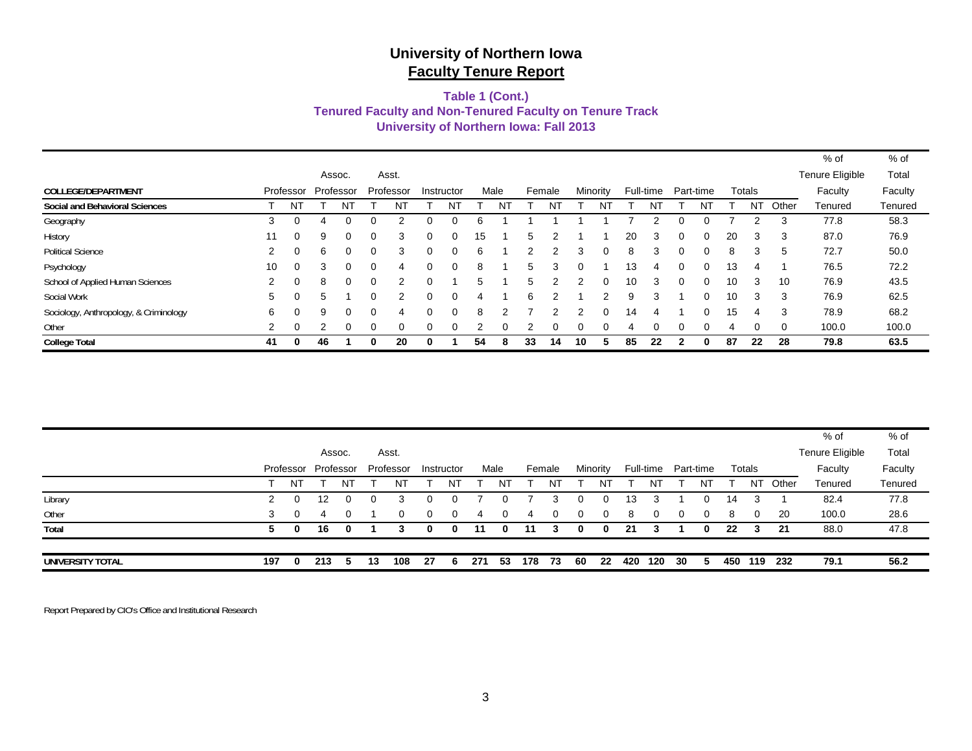#### **University of Northern Iowa: Fall 2013 Tenured Faculty and Non-Tenured Faculty on Tenure Track Table 1 (Cont.)**

|                                        |                      |           |    |           |          |           |          |            |    |      |    |        |          |          |    |           |          |           |    |           |          | % of            | $%$ of  |
|----------------------------------------|----------------------|-----------|----|-----------|----------|-----------|----------|------------|----|------|----|--------|----------|----------|----|-----------|----------|-----------|----|-----------|----------|-----------------|---------|
|                                        |                      |           |    | Assoc.    |          | Asst.     |          |            |    |      |    |        |          |          |    |           |          |           |    |           |          | Tenure Eligible | Total   |
| COLLEGE/DEPARTMENT                     |                      | Professor |    | Professor |          | Professor |          | Instructor |    | Male |    | Female | Minority |          |    | Full-time |          | Part-time |    | Totals    |          | Faculty         | Faculty |
| <b>Social and Behavioral Sciences</b>  |                      | NT        |    | ΝI        |          | NT        |          | ΝĪ         |    | ΝI   |    |        |          |          |    |           |          | ΝI        |    | <b>NT</b> | Other    | Tenured         | Tenured |
| Geography                              | 3                    | 0         | 4  | 0         | 0        |           | 0        | 0          | 6  |      |    |        |          |          |    |           | 0        |           |    |           | 3        | 77.8            | 58.3    |
| History                                | 11                   | $\Omega$  | 9  | 0         | 0        | 3         | 0        | $\Omega$   | 15 |      | 5  |        |          |          | 20 | 3         | 0        | 0         | 20 | 3         | -3       | 87.0            | 76.9    |
| <b>Political Science</b>               | $\overline{2}$       | $\Omega$  | 6  | 0         | 0        | 3         | 0        | 0          | 6  |      |    |        | 3        | 0        | 8  | 3         | 0        | 0         | 8  | 3         | 5        | 72.7            | 50.0    |
| Psychology                             | 10                   | $\Omega$  | 3  | 0         | $\Omega$ | 4         | 0        | $\Omega$   | 8  |      | 5. |        | 0        |          | 13 | 4         | $\Omega$ | $\Omega$  | 13 | 4         |          | 76.5            | 72.2    |
| School of Applied Human Sciences       | 2                    | $\Omega$  | 8  | $\Omega$  | 0        | 2         | 0        |            | 5  |      | 5  | າ      | 2        | $\Omega$ | 10 | 3         | $\Omega$ | 0         | 10 | 3         | 10       | 76.9            | 43.5    |
| Social Work                            | 5                    | $\Omega$  | 5  |           | 0        | 2         | 0        | $\Omega$   | 4  |      | 6  | 2      |          | 2        | 9  | 3         |          | 0         | 10 | 3         | 3        | 76.9            | 62.5    |
| Sociology, Anthropology, & Criminology | 6                    | $\Omega$  | 9  | 0         | 0        | 4         | 0        | 0          | 8  | 2    |    | 2      | 2        | 0        | 14 | 4         |          | 0         | 15 | 4         | 3        | 78.9            | 68.2    |
| Other                                  | $\mathbf{2}^{\circ}$ | $\Omega$  |    | 0         | $\Omega$ | 0         | $\Omega$ | $\Omega$   |    | 0    |    |        |          |          | 4  |           | $\Omega$ | $\Omega$  | 4  | $\Omega$  | $\Omega$ | 100.0           | 100.0   |
| <b>College Total</b>                   | 41                   | 0         | 46 |           | 0        | 20        | 0        |            | 54 | 8    | 33 | 14     | 10       | 5        | 85 | 22        |          | 0         | 87 | 22        | 28       | 79.8            | 63.5    |

|                  |     |          |                     |          |    |           |            |    |      |              |        |    |          |              |     |           |           |    |     |           |       | % of            | % of    |
|------------------|-----|----------|---------------------|----------|----|-----------|------------|----|------|--------------|--------|----|----------|--------------|-----|-----------|-----------|----|-----|-----------|-------|-----------------|---------|
|                  |     |          | Assoc.              |          |    | Asst.     |            |    |      |              |        |    |          |              |     |           |           |    |     |           |       | Tenure Eligible | Total   |
|                  |     |          | Professor Professor |          |    | Professor | Instructor |    | Male |              | Female |    |          | Minority     |     | Full-time | Part-time |    |     | Totals    |       | Faculty         | Faculty |
|                  |     | NT       |                     | ΝI       |    | NT        |            | N٦ |      |              |        | NT |          | NT           |     | NT        |           | NT |     | <b>NT</b> | Other | Tenured         | Tenured |
| Library          |     | $\Omega$ | 12                  |          |    | 3         | 0          |    |      |              |        |    | $\Omega$ | 0            | 13  |           |           |    | 14  |           |       | 82.4            | 77.8    |
| Other            | 3   |          | 4                   | $\Omega$ |    | 0         | 0          | 0  | 4    | 0            | 4      | 0  | 0        | 0            | 8   | 0         | 0         |    | 8   | 0         | -20   | 100.0           | 28.6    |
| Total            | 5.  | 0        | 16                  | 0        |    | з         | 0          | 0  | -11  | <sup>0</sup> | 11     |    | 0        | <sup>0</sup> | 21  |           |           | 0  | 22  | 3         | -21   | 88.0            | 47.8    |
|                  |     |          |                     |          |    |           |            |    |      |              |        |    |          |              |     |           |           |    |     |           |       |                 |         |
| UNIVERSITY TOTAL | 197 | 0        | 213                 | b.       | 13 | 108       | 27         | 6. | 271  | 53           | 178    | 73 | 60       | 22           | 420 | 120       | 30        |    | 450 | 119       | 232   | 79.1            | 56.2    |

Report Prepared by CIO's Office and Institutional Research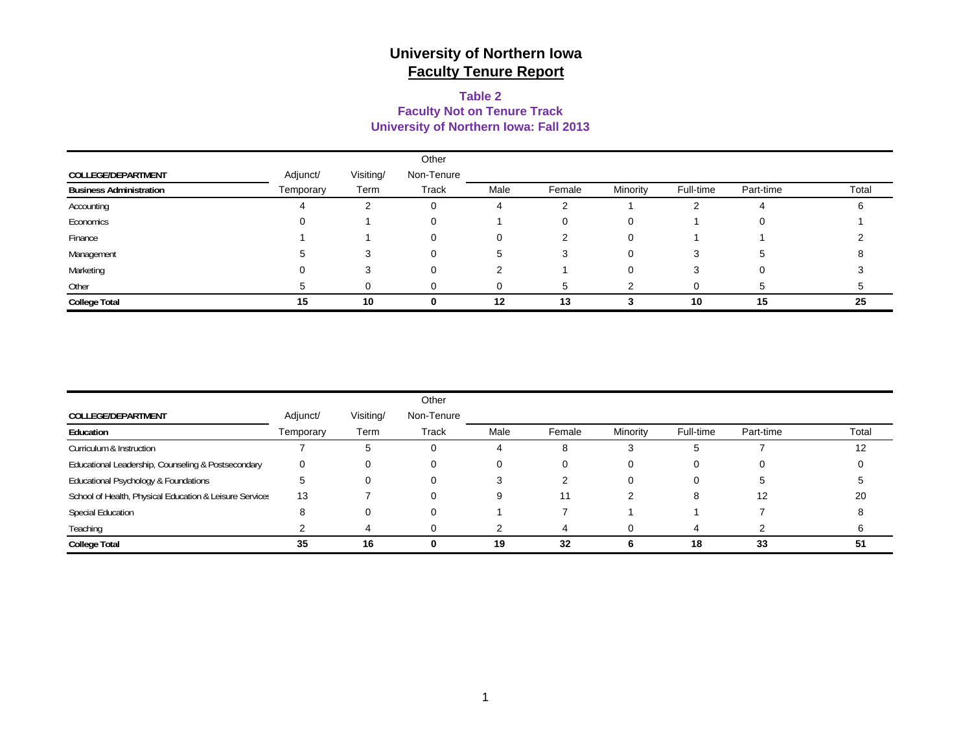### **University of Northern Iowa: Fall 2013 Table 2Faculty Not on Tenure Track**

|                                |           |           | Other      |      |        |          |           |           |       |
|--------------------------------|-----------|-----------|------------|------|--------|----------|-----------|-----------|-------|
| COLLEGE/DEPARTMENT             | Adjunct/  | Visiting/ | Non-Tenure |      |        |          |           |           |       |
| <b>Business Administration</b> | Temporary | Term      | Track      | Male | Female | Minority | Full-time | Part-time | Total |
| Accounting                     |           |           | 0          | 4    |        |          |           |           |       |
| Economics                      |           |           | 0          |      |        |          |           |           |       |
| Finance                        |           |           | 0          | 0    |        |          |           |           |       |
| Management                     |           |           | 0          | 5    | З      |          |           | :5        |       |
| Marketing                      |           |           | 0          |      |        |          |           |           |       |
| Other                          |           |           |            |      |        |          |           |           |       |
| <b>College Total</b>           | 15        | 10        | U          | 12   | 13     |          | 10        | 15        | 25    |

|                                                         |           |           | Other      |      |        |          |           |           |       |
|---------------------------------------------------------|-----------|-----------|------------|------|--------|----------|-----------|-----------|-------|
| COLLEGE/DEPARTMENT                                      | Adjunct/  | Visiting/ | Non-Tenure |      |        |          |           |           |       |
| Education                                               | Temporary | Term      | Track      | Male | Female | Minority | Full-time | Part-time | Total |
| Curriculum & Instruction                                |           | G         |            |      | 8      | З        | ≎         |           | 12    |
| Educational Leadership, Counseling & Postsecondary      |           | O         |            |      | 0      | 0        |           |           |       |
| Educational Psychology & Foundations                    |           | 0         | O          |      |        | $\Omega$ | O         |           |       |
| School of Health, Physical Education & Leisure Services | 13        |           |            |      | 11     |          | 8         | 12        | 20    |
| <b>Special Education</b>                                |           | 0         |            |      |        |          |           |           |       |
| Teaching                                                |           |           |            |      |        |          | 4         |           |       |
| <b>College Total</b>                                    | 35        | 16        | 0          | 19   | 32     | 6        | 18        | 33        | 51    |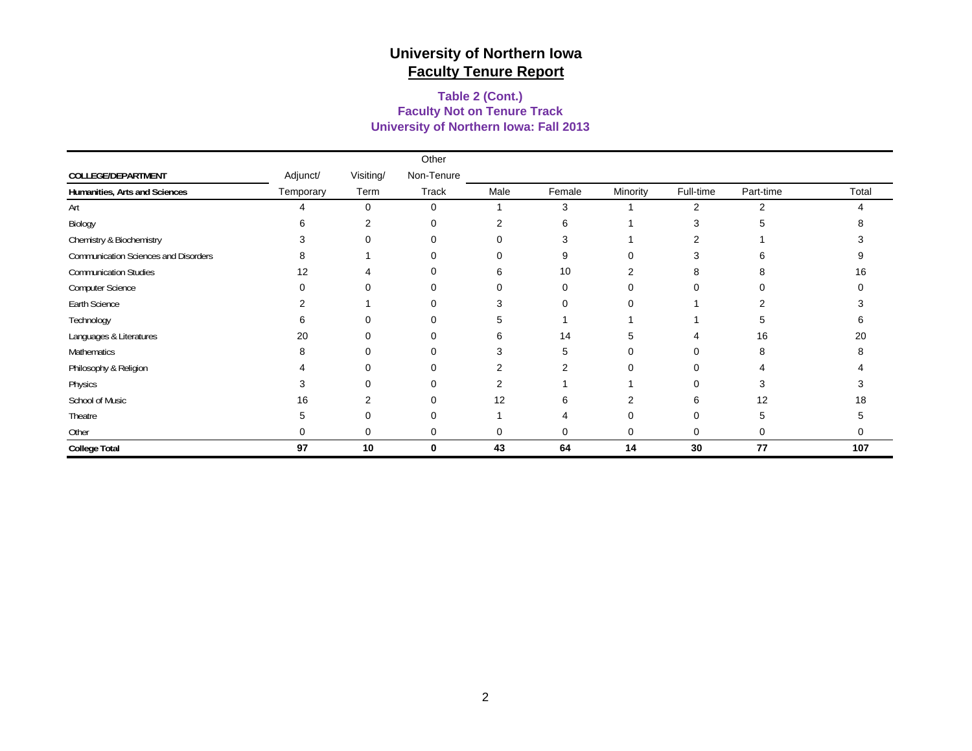#### **University of Northern Iowa: Fall 2013 Faculty Not on Tenure Track Table 2 (Cont.)**

|                                      |           |           | Other       |                |          |                |                |           |       |
|--------------------------------------|-----------|-----------|-------------|----------------|----------|----------------|----------------|-----------|-------|
| COLLEGE/DEPARTMENT                   | Adjunct/  | Visiting/ | Non-Tenure  |                |          |                |                |           |       |
| Humanities, Arts and Sciences        | Temporary | Term      | Track       | Male           | Female   | Minority       | Full-time      | Part-time | Total |
| Art                                  | Δ         | $\Omega$  | $\mathbf 0$ |                | 3        |                | $\overline{2}$ | 2         | Δ     |
| Biology                              | 6         | 2         | 0           | 2              | 6        |                | 3              |           |       |
| Chemistry & Biochemistry             | 3         | ∩         | $\Omega$    | $\Omega$       | З        |                |                |           |       |
| Communication Sciences and Disorders | 8         |           | 0           | 0              | 9        | 0              | 3              | h         |       |
| <b>Communication Studies</b>         | 12        |           | 0           | 6              | 10       | 2              | 8              |           | 16    |
| Computer Science                     | $\Omega$  |           | 0           | $\Omega$       | $\Omega$ | 0              | 0              |           |       |
| Earth Science                        | 2         |           | 0           | 3              | $\Omega$ | 0              |                | 2         |       |
| Technology                           | 6         |           | 0           | 5              |          |                |                | 5         |       |
| Languages & Literatures              | 20        |           | 0           | 6              | 14       | 5              |                | 16        | 20    |
| Mathematics                          | 8         |           | 0           | 3              | 5        | 0              | 0              | 8         |       |
| Philosophy & Religion                |           | $\Omega$  | 0           | 2              | 2        | 0              | 0              |           |       |
| Physics                              | 3         |           | 0           | $\overline{2}$ |          |                | 0              | 3         |       |
| School of Music                      | 16        | 2         | 0           | 12             | 6        | $\overline{2}$ | 6              | 12        | 18    |
| Theatre                              | 5         |           | $\Omega$    |                |          | O              | 0              | 5         |       |
| Other                                | U         | 0         | 0           | 0              | $\Omega$ | 0              | 0              | 0         | 0     |
| <b>College Total</b>                 | 97        | 10        | $\mathbf 0$ | 43             | 64       | 14             | 30             | 77        | 107   |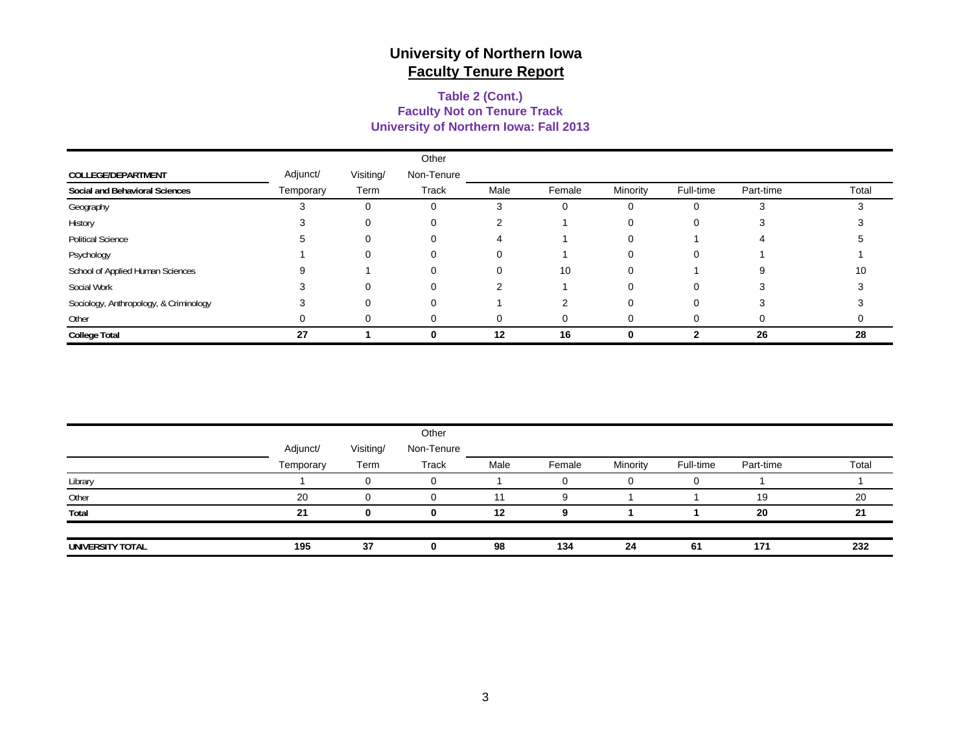#### **Faculty Not on Tenure Track Table 2 (Cont.) University of Northern Iowa: Fall 2013**

|                                        |           |           | Other        |      |        |          |           |           |       |
|----------------------------------------|-----------|-----------|--------------|------|--------|----------|-----------|-----------|-------|
| COLLEGE/DEPARTMENT                     | Adjunct/  | Visiting/ | Non-Tenure   |      |        |          |           |           |       |
| Social and Behavioral Sciences         | Temporary | Term      | <b>Track</b> | Male | Female | Minority | Full-time | Part-time | Total |
| Geography                              |           | $\Omega$  |              | З    |        |          |           |           |       |
| History                                |           |           | 0            | っ    |        |          |           |           |       |
| <b>Political Science</b>               |           |           |              |      |        |          |           |           |       |
| Psychology                             |           | 0         | 0            | 0    |        |          | 0         |           |       |
| School of Applied Human Sciences       |           |           | 0            | 0    | 10     | 0        |           | 9         | 10    |
| Social Work                            |           | ∩         | 0            |      |        |          | 0         |           |       |
| Sociology, Anthropology, & Criminology |           | $\Omega$  | ∩            |      |        |          |           |           |       |
| Other                                  |           | 0         |              | 0    | 0      |          |           |           |       |
| <b>College Total</b>                   | 27        |           |              | 12   | 16     |          |           | 26        | 28    |

|                  |           |           | Other      |      |        |          |           |           |       |
|------------------|-----------|-----------|------------|------|--------|----------|-----------|-----------|-------|
|                  | Adjunct/  | Visiting/ | Non-Tenure |      |        |          |           |           |       |
|                  | Temporary | Term      | Track      | Male | Female | Minority | Full-time | Part-time | Total |
| Library          |           |           | 0          |      |        |          | $\Omega$  |           |       |
| Other            | 20        |           |            |      | o      |          |           | 19        | 20    |
| Total            | 21        |           | ŋ          | 12   | q      |          |           | 20        | 21    |
|                  |           |           |            |      |        |          |           |           |       |
| UNIVERSITY TOTAL | 195       | 37        | 0          | 98   | 134    | 24       | -61       | 171       | 232   |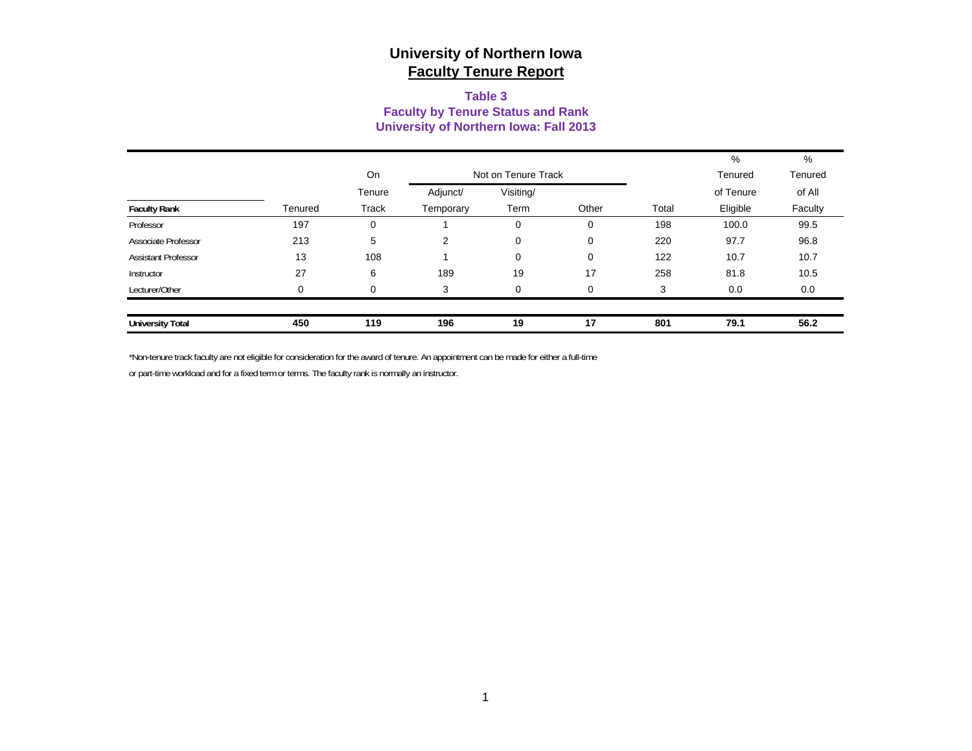#### **Table 3 Faculty by Tenure Status and Rank University of Northern Iowa: Fall 2013**

|                            |         |              |           |                     |       |       | %         | %       |
|----------------------------|---------|--------------|-----------|---------------------|-------|-------|-----------|---------|
|                            |         | On           |           | Not on Tenure Track |       |       | Tenured   | Tenured |
|                            |         | Tenure       | Adjunct/  | Visiting/           |       |       | of Tenure | of All  |
| <b>Faculty Rank</b>        | Tenured | <b>Track</b> | Temporary | Term                | Other | Total | Eligible  | Faculty |
| Professor                  | 197     | 0            |           | 0                   | 0     | 198   | 100.0     | 99.5    |
| Associate Professor        | 213     | 5            | 2         | $\mathbf 0$         | 0     | 220   | 97.7      | 96.8    |
| <b>Assistant Professor</b> | 13      | 108          |           | 0                   | 0     | 122   | 10.7      | 10.7    |
| Instructor                 | 27      | 6            | 189       | 19                  | 17    | 258   | 81.8      | 10.5    |
| Lecturer/Other             | 0       | 0            | 3         | $\mathbf 0$         | 0     | 3     | 0.0       | 0.0     |
|                            |         |              |           |                     |       |       |           |         |
| <b>University Total</b>    | 450     | 119          | 196       | 19                  | 17    | 801   | 79.1      | 56.2    |

\*Non-tenure track faculty are not eligible for consideration for the award of tenure. An appointment can be made for either a full-time

or part-time workload and for a fixed term or terms. The faculty rank is normally an instructor.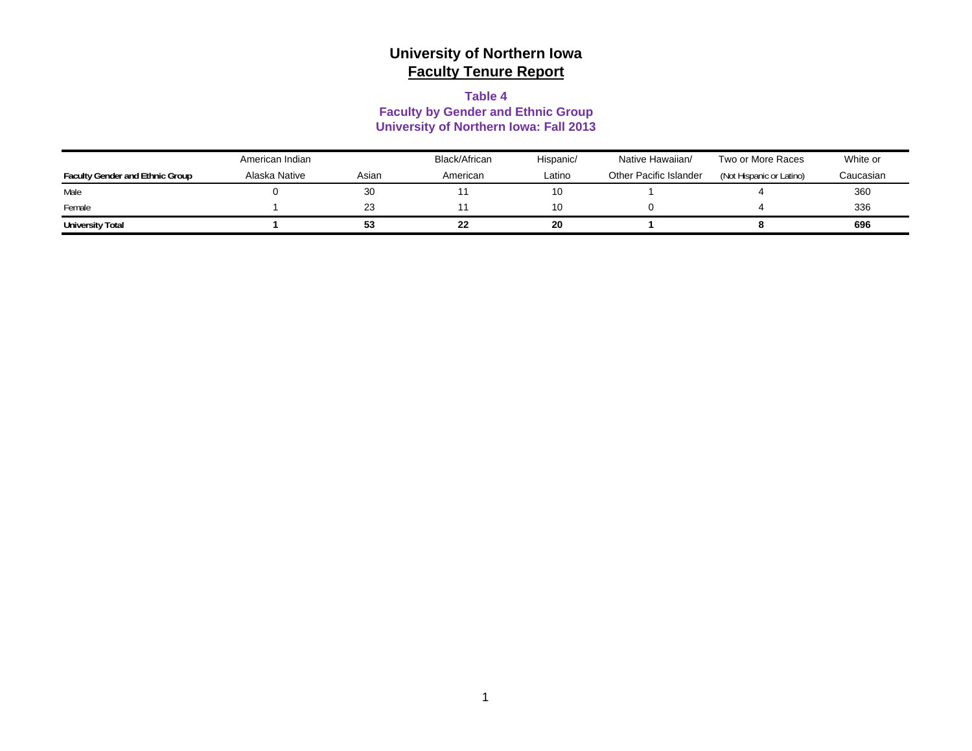#### **Table 4**

### **Faculty by Gender and Ethnic Group University of Northern Iowa: Fall 2013**

|                                        | American Indian |       | Black/African | Hispanic/ | Native Hawaiian/       | Two or More Races        | White or  |
|----------------------------------------|-----------------|-------|---------------|-----------|------------------------|--------------------------|-----------|
| <b>Faculty Gender and Ethnic Group</b> | Alaska Native   | Asian | American      | Latino    | Other Pacific Islander | (Not Hispanic or Latino) | Caucasian |
| Male                                   |                 | 30    |               | 10        |                        |                          | 360       |
| Female                                 |                 | 23    |               | 10        |                        |                          | 336       |
| <b>University Total</b>                |                 | 53    | 22            | 20        |                        |                          | 696       |